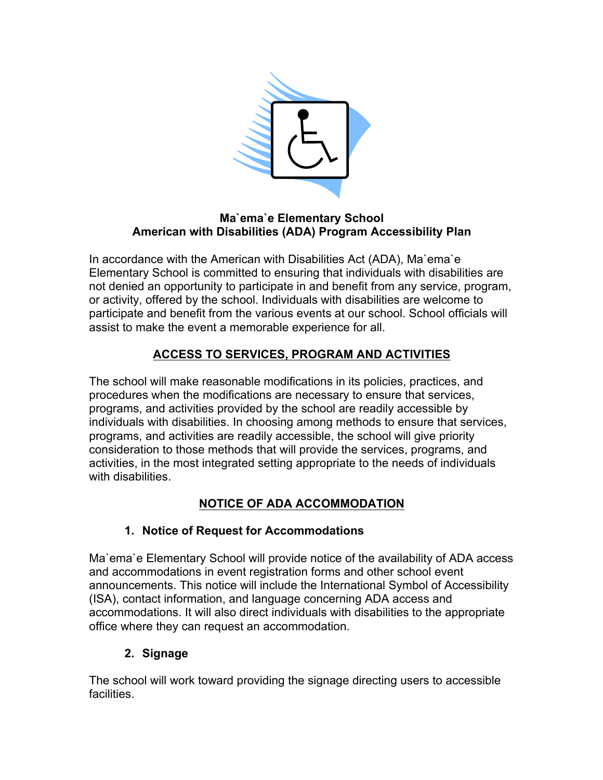

#### **Ma`ema`e Elementary School American with Disabilities (ADA) Program Accessibility Plan**

In accordance with the American with Disabilities Act (ADA), Ma`ema`e Elementary School is committed to ensuring that individuals with disabilities are not denied an opportunity to participate in and benefit from any service, program, or activity, offered by the school. Individuals with disabilities are welcome to participate and benefit from the various events at our school. School officials will assist to make the event a memorable experience for all.

# **ACCESS TO SERVICES, PROGRAM AND ACTIVITIES**

The school will make reasonable modifications in its policies, practices, and procedures when the modifications are necessary to ensure that services, programs, and activities provided by the school are readily accessible by individuals with disabilities. In choosing among methods to ensure that services, programs, and activities are readily accessible, the school will give priority consideration to those methods that will provide the services, programs, and activities, in the most integrated setting appropriate to the needs of individuals with disabilities.

## **NOTICE OF ADA ACCOMMODATION**

### **1. Notice of Request for Accommodations**

Ma`ema`e Elementary School will provide notice of the availability of ADA access and accommodations in event registration forms and other school event announcements. This notice will include the International Symbol of Accessibility (ISA), contact information, and language concerning ADA access and accommodations. It will also direct individuals with disabilities to the appropriate office where they can request an accommodation.

### **2. Signage**

The school will work toward providing the signage directing users to accessible facilities.